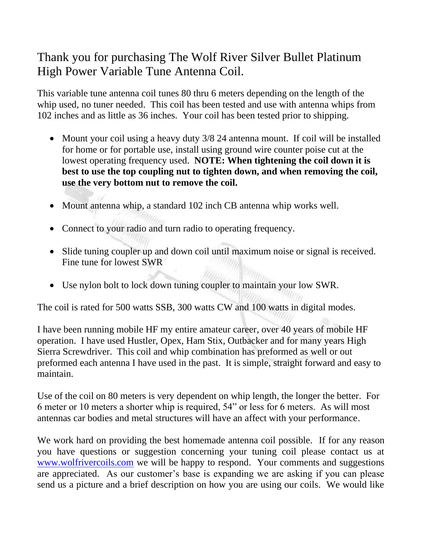## Thank you for purchasing The Wolf River Silver Bullet Platinum High Power Variable Tune Antenna Coil.

This variable tune antenna coil tunes 80 thru 6 meters depending on the length of the whip used, no tuner needed. This coil has been tested and use with antenna whips from 102 inches and as little as 36 inches. Your coil has been tested prior to shipping.

- Mount your coil using a heavy duty 3/8 24 antenna mount. If coil will be installed for home or for portable use, install using ground wire counter poise cut at the lowest operating frequency used. **NOTE: When tightening the coil down it is best to use the top coupling nut to tighten down, and when removing the coil, use the very bottom nut to remove the coil.**
- Mount antenna whip, a standard 102 inch CB antenna whip works well.
- Connect to your radio and turn radio to operating frequency.
- Slide tuning coupler up and down coil until maximum noise or signal is received. Fine tune for lowest SWR
- Use nylon bolt to lock down tuning coupler to maintain your low SWR.

The coil is rated for 500 watts SSB, 300 watts CW and 100 watts in digital modes.

I have been running mobile HF my entire amateur career, over 40 years of mobile HF operation. I have used Hustler, Opex, Ham Stix, Outbacker and for many years High Sierra Screwdriver. This coil and whip combination has preformed as well or out preformed each antenna I have used in the past. It is simple, straight forward and easy to maintain.

Use of the coil on 80 meters is very dependent on whip length, the longer the better. For 6 meter or 10 meters a shorter whip is required, 54" or less for 6 meters. As will most antennas car bodies and metal structures will have an affect with your performance.

We work hard on providing the best homemade antenna coil possible. If for any reason you have questions or suggestion concerning your tuning coil please contact us at [www.wolfrivercoils.com](http://www.wolfrivercoils.com/) we will be happy to respond. Your comments and suggestions are appreciated. As our customer's base is expanding we are asking if you can please send us a picture and a brief description on how you are using our coils. We would like